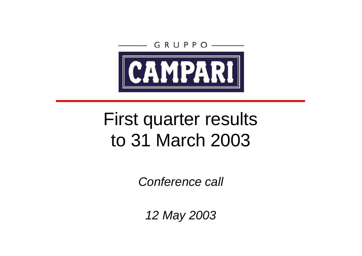

# First quarter results to 31 March 2003

*Conference call*

*12 May 2003*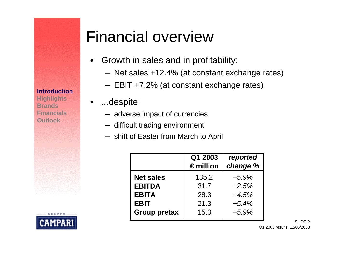#### **Introduction**

**Highlights Brands Financials Outlook**

RUPPO

### Financial overview

- Growth in sales and in profitability:
	- Net sales +12.4% (at constant exchange rates)
	- EBIT +7.2% (at constant exchange rates)
- ...despite:
	- adverse impact of currencies
	- difficult trading environment
	- shift of Easter from March to April

|                                   | Q1 2003<br>$\epsilon$ million | reported<br>change % |
|-----------------------------------|-------------------------------|----------------------|
| <b>Net sales</b><br><b>EBITDA</b> | 135.2<br>31.7                 | $+5.9%$<br>$+2.5%$   |
| <b>EBITA</b>                      | 28.3                          | $+4.5%$              |
| <b>EBIT</b>                       | 21.3                          | $+5.4%$              |
| <b>Group pretax</b>               | 15.3                          | $+5.9%$              |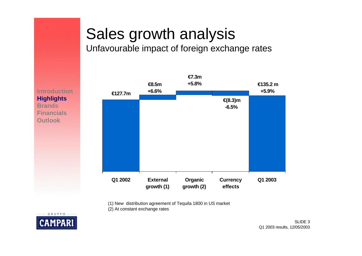# Sales growth analysis

Unfavourable impact of foreign exchange rates

**Introduction Highlights Brands Financials Outlook**



(1) New distribution agreement of Tequila 1800 in US market

(2) At constant exchange rates

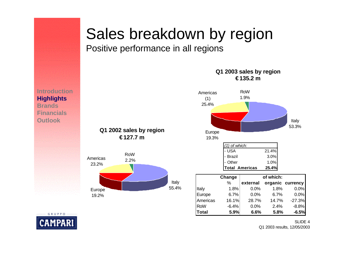#### Sales breakdown by region

Positive performance in all regions

#### **€ 135.2 m Q1 2002 sales by region € 127.7 m** Italy RoW 2.2% *(1) of which:* USA 21.4% Brazil 3.0% Other 1.0% **Total Americas 25.4% Change of which:** % **external organic currency** Italy 1.8% 0.0% 1.8% 0.0% Europe 6.7% 0.0% 6.7% 0.0% Americas 16.1% 28.7% 14.7% -27.3% RoW -6.4% 0.0% 2.4% -8.8% **Total 5.9% 6.6% 5.8% -6.5% Outlook** Italy 53.3% Americas (1) 25.4% Europe 19.3% RoW 1.9%

**Q1 2003 sales by region**

**Introduction Highlights Brands Financials**

**GRUPPO** 



SLIDE 4 Q1 2003 results, 12/05/2003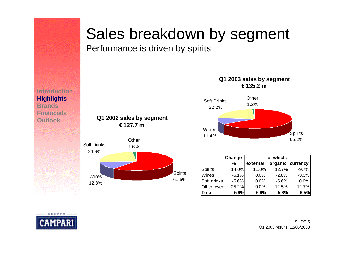### Sales breakdown by segment

Performance is driven by spirits



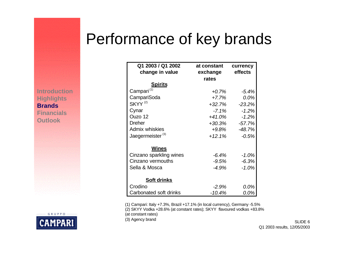### Performance of key brands

**Introduction Highlights Brands Financials Outlook**



| Q1 2003 / Q1 2002            | at constant | currency |  |  |
|------------------------------|-------------|----------|--|--|
| change in value              | exchange    | effects  |  |  |
|                              | rates       |          |  |  |
| <b>Spirits</b>               |             |          |  |  |
| Campari <sup>(1)</sup>       | $+0.7%$     | $-5.4%$  |  |  |
| CampariSoda                  | $+7.7%$     | 0.0%     |  |  |
| SKYY <sup>(2)</sup>          | $+32.7%$    | $-23.2%$ |  |  |
| Cynar                        | $-7.1\%$    | $-1.2%$  |  |  |
| Ouzo 12                      | +41.0%      | $-1.2%$  |  |  |
| <b>Dreher</b>                | +30.3%      | $-57.7%$ |  |  |
| <b>Admix whiskies</b>        | $+9.8%$     | $-48.7%$ |  |  |
| Jaegermeister <sup>(3)</sup> | $+12.1%$    | $-0.5%$  |  |  |
| <u>Wines</u>                 |             |          |  |  |
| Cinzano sparkling wines      | $-6.4%$     | $-1.0%$  |  |  |
| Cinzano vermouths            | $-9.5%$     | $-6.3%$  |  |  |
| Sella & Mosca                | $-4.9%$     | $-1.0%$  |  |  |
| <u>Soft drinks</u>           |             |          |  |  |
| Crodino                      | $-2.9%$     | 0.0%     |  |  |
| Carbonated soft drinks       | $-10.4%$    | 0.0%     |  |  |

(1) Campari: Italy +7.3%, Brazil +17.1% (in local currency), Germany -5.5%

(2) SKYY Vodka +28.6% (at constant rates); SKYY flavoured vodkas +83.8%

(at constant rates)

(3) Agency brand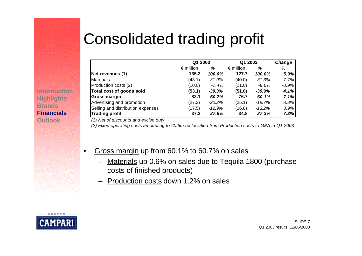# Consolidated trading profit

|                                   | Q1 2003            |           | Q1 2002            |           | Change  |
|-----------------------------------|--------------------|-----------|--------------------|-----------|---------|
|                                   | $\epsilon$ million | %         | $\epsilon$ million | %         | %       |
| Net revenues (1)                  | 135.2              | 100.0%    | 127.7              | 100.0%    | 5.9%    |
| <b>Materials</b>                  | (43.1)             | -31.9%    | (40.0)             | $-31.3%$  | 7.7%    |
| Production costs (2)              | (10.0)             | $-7.4%$   | (11.0)             | $-8.6\%$  | $-8.9%$ |
| Total cost of goods sold          | (53.1)             | $-39.3%$  | (51.0)             | $-39.9\%$ | 4.1%    |
| Gross margin                      | 82.1               | 60.7%     | 76.7               | 60.1%     | 7.1%    |
| Advertising and promotion         | (27.3)             | $-20.2\%$ | (25.1)             | -19.7%    | 8.8%    |
| Selling and distribution expenses | (17.5)             | -12.9%    | (16.8)             | -13.2%    | 3.9%    |
| <b>Trading profit</b>             | 37.3               | 27.6%     | 34.8               | 27.3%     | 7.3%    |

*(1) Net of discounts and excise duty*

*(2) Fixed operating costs amounting to €0.6m reclassified from Production costs to G&A in Q1 2003*

- Gross margin up from 60.1% to 60.7% on sales
	- Materials up 0.6% on sales due to Tequila 1800 (purchase costs of finished products)
	- Production costs down 1.2% on sales



**Introduction**

**Highlights Brands**

**Financials Outlook**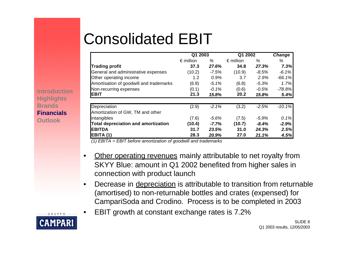## Consolidated EBIT

|                                            | Q1 2003            |          | Q1 2002            |          | <b>Change</b> |
|--------------------------------------------|--------------------|----------|--------------------|----------|---------------|
|                                            | $\epsilon$ million | %        | $\epsilon$ million | %        | %             |
| <b>Trading profit</b>                      | 37.3               | 27.6%    | 34.8               | 27.3%    | 7.3%          |
| General and administrative expenses        | (10.2)             | $-7.5%$  | (10.9)             | -8.5%    | $-6.1%$       |
| Other operating income                     | 1.2                | 0.9%     | 3.7                | 2.9%     | $-66.1%$      |
| Amortisation of goodwill and trademarks    | (6.9)              | $-5.1%$  | (6.8)              | $-5.3%$  | 1.7%          |
| Non-recurring expenses                     | (0.1)              | $-0.1%$  | (0.6)              | $-0.5\%$ | $-78.8%$      |
| <b>EBIT</b>                                | 21.3               | 15.8%    | 20.2               | 15.8%    | 5.4%          |
|                                            |                    |          |                    |          |               |
| Depreciation                               | (2.9)              | $-2.1%$  | (3.2)              | $-2.5%$  | $-10.1%$      |
| Amortization of GW, TM and other           |                    |          |                    |          |               |
| intangibles                                | (7.6)              | $-5.6%$  | (7.5)              | $-5.9%$  | 0.1%          |
| <b>Total depreciation and amortization</b> | (10.4)             | $-7.7\%$ | (10.7)             | $-8.4%$  | $-2.9%$       |
| <b>EBITDA</b>                              | 31.7               | 23.5%    | 31.0               | 24.3%    | 2.5%          |
| EBITA (1)                                  | 28.3               | 20.9%    | 27.0               | 21.1%    | 4.5%          |

*(1) EBITA = EBIT before amortization of goodwill and trademarks*

- Other operating revenues mainly attributable to net royalty from SKYY Blue: amount in Q1 2002 benefited from higher sales in connection with product launch
- Decrease in depreciation is attributable to transition from returnable (amortised) to non-returnable bottles and crates (expensed) for CampariSoda and Crodino. Process is to be completed in 2003
- EBIT growth at constant exchange rates is 7.2%

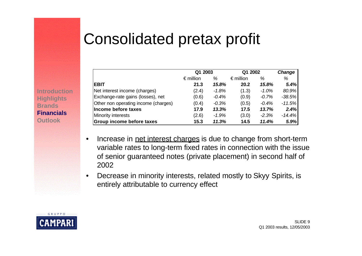### Consolidated pretax profit

|                                      | Q1 2003            |         | Q1 2002            |         | Change   |
|--------------------------------------|--------------------|---------|--------------------|---------|----------|
|                                      | $\epsilon$ million | %       | $\epsilon$ million | ℅       | %        |
| <b>EBIT</b>                          | 21.3               | 15.8%   | 20.2               | 15.8%   | 5.4%     |
| Net interest income (charges)        | (2.4)              | $-1.8%$ | (1.3)              | $-1.0%$ | 80.9%    |
| Exchange-rate gains (losses), net    | (0.6)              | $-0.4%$ | (0.9)              | $-0.7%$ | $-38.5%$ |
| Other non operating income (charges) | (0.4)              | $-0.3%$ | (0.5)              | $-0.4%$ | $-11.5%$ |
| Income before taxes                  | 17.9               | 13.3%   | 17.5               | 13.7%   | 2.4%     |
| <b>Minority interests</b>            | (2.6)              | $-1.9%$ | (3.0)              | $-2.3%$ | $-14.4%$ |
| <b>Group income before taxes</b>     | 15.3               | 11.3%   | 14.5               | 11.4%   | 5.9%     |

- Increase in net interest charges is due to change from short-term variable rates to long-term fixed rates in connection with the issue of senior guaranteed notes (private placement) in second half of 2002
- Decrease in minority interests, related mostly to Skyy Spirits, is entirely attributable to currency effect



**Introduction**

**Highlights Brands Financials Outlook**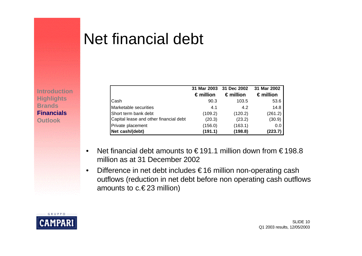### Net financial debt

**Introduction Highlights Brands Financials Outlook**

|                                        | 31 Mar 2003        | 31 Dec 2002        | 31 Mar 2002        |
|----------------------------------------|--------------------|--------------------|--------------------|
|                                        | $\epsilon$ million | $\epsilon$ million | $\epsilon$ million |
| Cash                                   | 90.3               | 103.5              | 53.6               |
| Marketable securities                  | 4.1                | 4.2                | 14.8               |
| Short term bank debt                   | (109.2)            | (120.2)            | (261.2)            |
| Capital lease and other financial debt | (20.3)             | (23.2)             | (30.9)             |
| Private placement                      | (156.0)            | (163.1)            | 0.0                |
| Net cash/(debt)                        | (191.1)            | (198.8)            | (223.7)            |

- Net financial debt amounts to  $\in$  191.1 million down from  $\in$  198.8 million as at 31 December 2002
- Difference in net debt includes € 16 million non-operating cash outflows (reduction in net debt before non operating cash outflows amounts to  $c.\epsilon$  23 million)

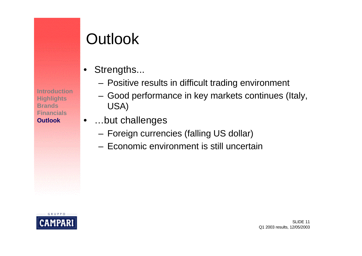**Introduction Highlights Brands Financials Outlook**

### **Outlook**

- Strengths...
	- Positive results in difficult trading environment
	- Good performance in key markets continues (Italy, USA)
- …but challenges
	- Foreign currencies (falling US dollar)
	- Economic environment is still uncertain

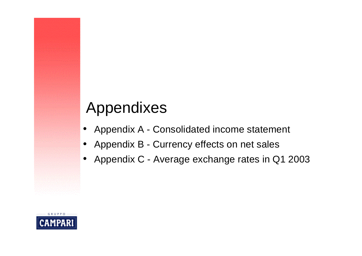### Appendixes

- Appendix A Consolidated income statement
- Appendix B Currency effects on net sales
- Appendix C Average exchange rates in Q1 2003

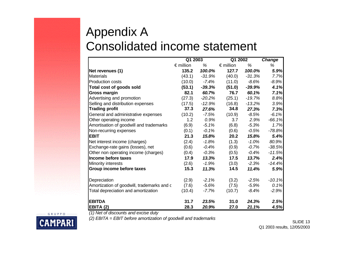#### Appendix A Consolidated income statement

|                                            | Q1 2003            |          | Q1 2002            |          | <b>Change</b> |
|--------------------------------------------|--------------------|----------|--------------------|----------|---------------|
|                                            | $\epsilon$ million | %        | $\epsilon$ million | %        | %             |
| Net revenues (1)                           | 135.2              | 100.0%   | 127.7              | 100.0%   | 5.9%          |
| <b>Materials</b>                           | (43.1)             | $-31.9%$ | (40.0)             | $-31.3%$ | 7.7%          |
| Production costs                           | (10.0)             | $-7.4%$  | (11.0)             | $-8.6%$  | $-8.9%$       |
| Total cost of goods sold                   | (53.1)             | $-39.3%$ | (51.0)             | $-39.9%$ | 4.1%          |
| <b>Gross margin</b>                        | 82.1               | 60.7%    | 76.7               | 60.1%    | 7.1%          |
| Advertising and promotion                  | (27.3)             | $-20.2%$ | (25.1)             | $-19.7%$ | 8.8%          |
| Selling and distribution expenses          | (17.5)             | $-12.9%$ | (16.8)             | $-13.2%$ | 3.9%          |
| <b>Trading profit</b>                      | 37.3               | 27.6%    | 34.8               | 27.3%    | 7.3%          |
| General and administrative expenses        | (10.2)             | $-7.5%$  | (10.9)             | $-8.5%$  | $-6.1%$       |
| Other operating income                     | 1.2                | 0.9%     | 3.7                | 2.9%     | $-66.1%$      |
| Amortisation of goodwill and trademarks    | (6.9)              | $-5.1%$  | (6.8)              | $-5.3%$  | 1.7%          |
| Non-recurring expenses                     | (0.1)              | $-0.1%$  | (0.6)              | -0.5%    | $-78.8%$      |
| <b>EBIT</b>                                | 21.3               | 15.8%    | 20.2               | 15.8%    | 5.4%          |
| Net interest income (charges)              | (2.4)              | $-1.8%$  | (1.3)              | $-1.0%$  | 80.9%         |
| Exchange-rate gains (losses), net          | (0.6)              | $-0.4%$  | (0.9)              | $-0.7\%$ | $-38.5%$      |
| Other non operating income (charges)       | (0.4)              | $-0.3%$  | (0.5)              | $-0.4%$  | $-11.5%$      |
| Income before taxes                        | 17.9               | 13.3%    | 17.5               | 13.7%    | 2.4%          |
| Minority interests                         | (2.6)              | $-1.9%$  | (3.0)              | $-2.3%$  | $-14.4%$      |
| Group income before taxes                  | 15.3               | 11.3%    | 14.5               | 11.4%    | 5.9%          |
| Depreciation                               | (2.9)              | $-2.1%$  | (3.2)              | $-2.5%$  | $-10.1%$      |
| Amortization of goodwill, trademarks and c | (7.6)              | $-5.6%$  | (7.5)              | $-5.9\%$ | 0.1%          |
| Total depreciation and amortization        | (10.4)             | $-7.7%$  | (10.7)             | $-8.4%$  | $-2.9%$       |
| <b>EBITDA</b>                              | 31.7               | 23.5%    | 31.0               | 24.3%    | 2.5%          |
| EBITA (2)                                  | 28.3               | 20.9%    | 27.0               | 21.1%    | 4.5%          |

*(1) Net of discounts and excise duty*

*(2) EBITA = EBIT before amortization of goodwill and trademarks*

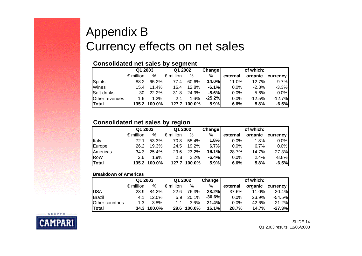#### Appendix B Currency effects on net sales

#### **Consolidated net sales by segment**

|                | Q1 2003            |              | Q1 2002            |              | Change   | of which: |          |                 |
|----------------|--------------------|--------------|--------------------|--------------|----------|-----------|----------|-----------------|
|                | $\epsilon$ million | %            | $\epsilon$ million | %            | %        | external  | organic  | <b>currency</b> |
| <b>Spirits</b> | 88.2               | 65.2%        | 77.4               | 60.6%        | 14.0%    | 11.0%     | 12.7%    | $-9.7%$         |
| Wines          | 15.4               | 11.4%        | 16.4               | $12.8\%$     | $-6.1%$  | $0.0\%$   | -2.8%    | $-3.3%$         |
| Soft drinks    | 30                 | 22.2%        | 31.8               | 24.9%        | -5.6%    | $0.0\%$   | -5.6%    | 0.0%            |
| Other revenues | 1.6                | $1.2\%$      | 2.1                | 1.6%         | $-25.2%$ | 0.0%      | $-12.5%$ | $-12.7%$        |
| <b>Total</b>   |                    | 135.2 100.0% |                    | 127.7 100.0% | 5.9%     | 6.6%      | 5.8%     | $-6.5%$         |

#### **Consolidated net sales by region**

|              | Q1 2003            |              | Q1 2002            |              | Change  |          | of which: |                 |  |
|--------------|--------------------|--------------|--------------------|--------------|---------|----------|-----------|-----------------|--|
|              | $\epsilon$ million | %            | $\epsilon$ million | %            | %       | external | organic   | <b>currency</b> |  |
| Italy        | 72.1               | 53.3%        | 70.8               | 55.4%        | 1.8%    | $0.0\%$  | 1.8%      | 0.0%            |  |
| Europe       | 26.2               | 19.3%        | 24.5               | 19.2%        | 6.7%    | $0.0\%$  | $6.7\%$   | 0.0%            |  |
| Americas     | 34.3               | 25.4%        | 29.6               | 23.2%        | 16.1%   | 28.7%    | 14.7%     | $-27.3%$        |  |
| RoW          | 2.6                | 1.9%         | 2.8                | 2.2%         | $-6.4%$ | $0.0\%$  | 2.4%      | $-8.8%$         |  |
| <b>Total</b> |                    | 135.2 100.0% |                    | 127.7 100.0% | 5.9%    | 6.6%     | 5.8%      | $-6.5%$         |  |

#### **Breakdown of Americas**

|                 | Q1 2003            |             | Q1 2002            |             | Change | of which: |       |                  |  |
|-----------------|--------------------|-------------|--------------------|-------------|--------|-----------|-------|------------------|--|
|                 | $\epsilon$ million | %           | $\epsilon$ million | %           | %      | external  |       | organic currency |  |
| <b>USA</b>      | 28.9               | 84.2%       | 22.6               | 76.3%       | 28.2%  | 37.6%     | 11.0% | $-20.4%$         |  |
| Brazil          | 4.1                | 12.0%       |                    | 5.9 20.1%   | -30.6% | 0.0%      | 23.9% | $-54.5%$         |  |
| Other countries | 1.3                | 3.8%        | 1.1                | $3.6\%$     | 21.4%  | $0.0\%$   | 42.6% | $-21.2%$         |  |
| <b>Total</b>    |                    | 34.3 100.0% |                    | 29.6 100.0% | 16.1%  | 28.7%     | 14.7% | $-27.3%$         |  |

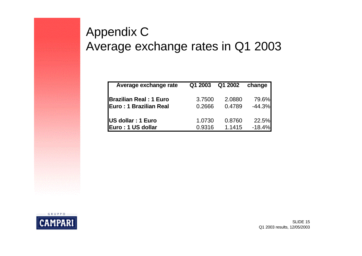#### Appendix C Average exchange rates in Q1 2003

| Average exchange rate         | Q1 2003 | Q1 2002 | change   |
|-------------------------------|---------|---------|----------|
| <b>Brazilian Real: 1 Euro</b> | 3.7500  | 2.0880  | 79.6%    |
| Euro: 1 Brazilian Real        | 0.2666  | 0.4789  | $-44.3%$ |
|                               |         |         |          |
| US dollar : 1 Euro            | 1.0730  | 0.8760  | 22.5%    |
| Euro: 1 US dollar             | 0.9316  | 1.1415  | $-18.4%$ |